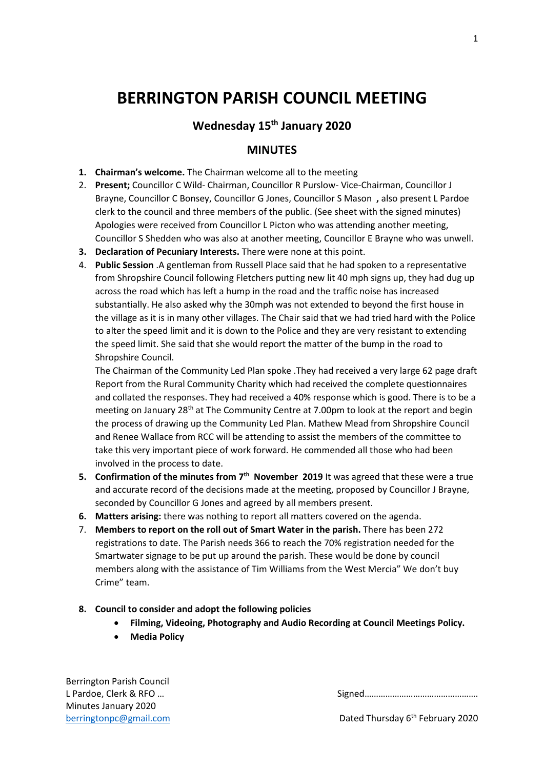# **BERRINGTON PARISH COUNCIL MEETING**

# **Wednesday 15th January 2020**

## **MINUTES**

- **1. Chairman's welcome.** The Chairman welcome all to the meeting
- 2. **Present;** Councillor C Wild- Chairman, Councillor R Purslow- Vice-Chairman, Councillor J Brayne, Councillor C Bonsey, Councillor G Jones, Councillor S Mason **,** also present L Pardoe clerk to the council and three members of the public. (See sheet with the signed minutes) Apologies were received from Councillor L Picton who was attending another meeting, Councillor S Shedden who was also at another meeting, Councillor E Brayne who was unwell.
- **3. Declaration of Pecuniary Interests.** There were none at this point.
- 4. **Public Session** .A gentleman from Russell Place said that he had spoken to a representative from Shropshire Council following Fletchers putting new lit 40 mph signs up, they had dug up across the road which has left a hump in the road and the traffic noise has increased substantially. He also asked why the 30mph was not extended to beyond the first house in the village as it is in many other villages. The Chair said that we had tried hard with the Police to alter the speed limit and it is down to the Police and they are very resistant to extending the speed limit. She said that she would report the matter of the bump in the road to Shropshire Council.

The Chairman of the Community Led Plan spoke .They had received a very large 62 page draft Report from the Rural Community Charity which had received the complete questionnaires and collated the responses. They had received a 40% response which is good. There is to be a meeting on January 28<sup>th</sup> at The Community Centre at 7.00pm to look at the report and begin the process of drawing up the Community Led Plan. Mathew Mead from Shropshire Council and Renee Wallace from RCC will be attending to assist the members of the committee to take this very important piece of work forward. He commended all those who had been involved in the process to date.

- **5. Confirmation of the minutes from 7<sup>th</sup> November 2019** It was agreed that these were a true and accurate record of the decisions made at the meeting, proposed by Councillor J Brayne, seconded by Councillor G Jones and agreed by all members present.
- **6. Matters arising:** there was nothing to report all matters covered on the agenda.
- 7. **Members to report on the roll out of Smart Water in the parish.** There has been 272 registrations to date. The Parish needs 366 to reach the 70% registration needed for the Smartwater signage to be put up around the parish. These would be done by council members along with the assistance of Tim Williams from the West Mercia" We don't buy Crime" team.
- **8. Council to consider and adopt the following policies**
	- **Filming, Videoing, Photography and Audio Recording at Council Meetings Policy.**
	- **Media Policy**

Berrington Parish Council Minutes January 2020

L Pardoe, Clerk & RFO ... **Signed** 2008 Signed 2008 Signed 2008 Signed 2008 Signed 2008 Signed 2008 Signed 2008 Signed 2008 Signed 2008 Signed 2008 Signed 2008 Signed 2008 Signed 2008 Signed 2008 Signed 2008 Signed 2008 Si

[berringtonpc@gmail.com](mailto:berringtonpc@gmail.com) **Dated Thursday 6<sup>th</sup> February 2020**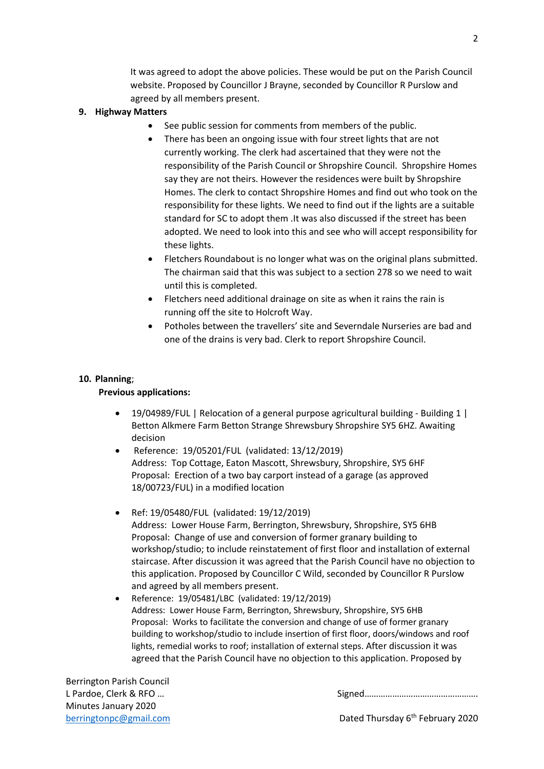It was agreed to adopt the above policies. These would be put on the Parish Council website. Proposed by Councillor J Brayne, seconded by Councillor R Purslow and agreed by all members present.

## **9. Highway Matters**

- See public session for comments from members of the public.
- There has been an ongoing issue with four street lights that are not currently working. The clerk had ascertained that they were not the responsibility of the Parish Council or Shropshire Council. Shropshire Homes say they are not theirs. However the residences were built by Shropshire Homes. The clerk to contact Shropshire Homes and find out who took on the responsibility for these lights. We need to find out if the lights are a suitable standard for SC to adopt them .It was also discussed if the street has been adopted. We need to look into this and see who will accept responsibility for these lights.
- Fletchers Roundabout is no longer what was on the original plans submitted. The chairman said that this was subject to a section 278 so we need to wait until this is completed.
- Fletchers need additional drainage on site as when it rains the rain is running off the site to Holcroft Way.
- Potholes between the travellers' site and Severndale Nurseries are bad and one of the drains is very bad. Clerk to report Shropshire Council.

### **10. Planning**;

#### **Previous applications:**

- 19/04989/FUL | Relocation of a general purpose agricultural building Building 1 | Betton Alkmere Farm Betton Strange Shrewsbury Shropshire SY5 6HZ. Awaiting decision
- Reference: 19/05201/FUL (validated: 13/12/2019) Address: Top Cottage, Eaton Mascott, Shrewsbury, Shropshire, SY5 6HF Proposal: Erection of a two bay carport instead of a garage (as approved 18/00723/FUL) in a modified location
- Ref: 19/05480/FUL (validated: 19/12/2019) Address: Lower House Farm, Berrington, Shrewsbury, Shropshire, SY5 6HB Proposal: Change of use and conversion of former granary building to workshop/studio; to include reinstatement of first floor and installation of external staircase. After discussion it was agreed that the Parish Council have no objection to this application. Proposed by Councillor C Wild, seconded by Councillor R Purslow and agreed by all members present.
- Reference: 19/05481/LBC (validated: 19/12/2019) Address: Lower House Farm, Berrington, Shrewsbury, Shropshire, SY5 6HB Proposal: Works to facilitate the conversion and change of use of former granary building to workshop/studio to include insertion of first floor, doors/windows and roof lights, remedial works to roof; installation of external steps. After discussion it was agreed that the Parish Council have no objection to this application. Proposed by

Berrington Parish Council Minutes January 2020

L Pardoe, Clerk & RFO ... **Signed** 2008 Signed 2008 Signed 2008 Signed 2008 Signed 2008 Signed 2008 Signed 2008 Signed 2008 Signed 2008 Signed 2008 Signed 2008 Signed 2008 Signed 2008 Signed 2008 Signed 2008 Signed 2008 Si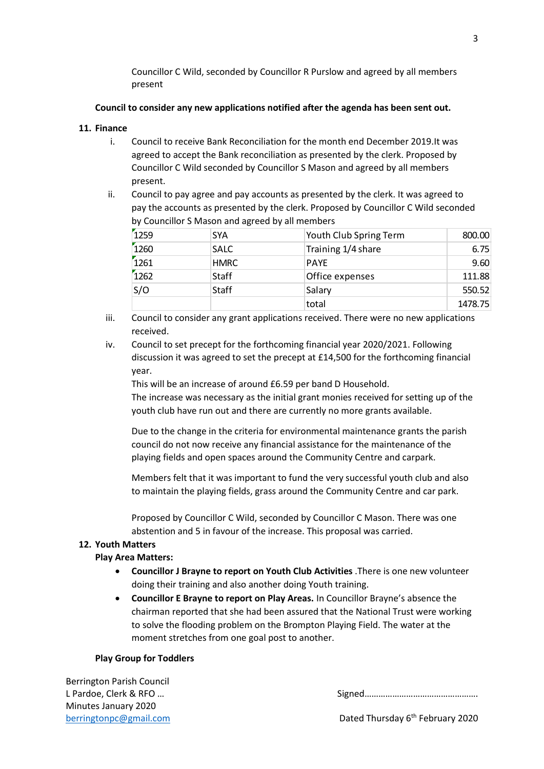Councillor C Wild, seconded by Councillor R Purslow and agreed by all members present

#### **Council to consider any new applications notified after the agenda has been sent out.**

#### **11. Finance**

- i. Council to receive Bank Reconciliation for the month end December 2019.It was agreed to accept the Bank reconciliation as presented by the clerk. Proposed by Councillor C Wild seconded by Councillor S Mason and agreed by all members present.
- ii. Council to pay agree and pay accounts as presented by the clerk. It was agreed to pay the accounts as presented by the clerk. Proposed by Councillor C Wild seconded by Councillor S Mason and agreed by all members

| 1259 | <b>SYA</b>   | Youth Club Spring Term | 800.00  |
|------|--------------|------------------------|---------|
| 1260 | <b>SALC</b>  | Training 1/4 share     | 6.75    |
| 1261 | <b>HMRC</b>  | <b>PAYE</b>            | 9.60    |
| 1262 | <b>Staff</b> | Office expenses        | 111.88  |
| S/O  | <b>Staff</b> | Salary                 | 550.52  |
|      |              | total                  | 1478.75 |

- iii. Council to consider any grant applications received. There were no new applications received.
- iv. Council to set precept for the forthcoming financial year 2020/2021. Following discussion it was agreed to set the precept at £14,500 for the forthcoming financial year.

This will be an increase of around £6.59 per band D Household.

The increase was necessary as the initial grant monies received for setting up of the youth club have run out and there are currently no more grants available.

Due to the change in the criteria for environmental maintenance grants the parish council do not now receive any financial assistance for the maintenance of the playing fields and open spaces around the Community Centre and carpark.

Members felt that it was important to fund the very successful youth club and also to maintain the playing fields, grass around the Community Centre and car park.

Proposed by Councillor C Wild, seconded by Councillor C Mason. There was one abstention and 5 in favour of the increase. This proposal was carried.

## **12. Youth Matters**

#### **Play Area Matters:**

- **Councillor J Brayne to report on Youth Club Activities** .There is one new volunteer doing their training and also another doing Youth training.
- **Councillor E Brayne to report on Play Areas.** In Councillor Brayne's absence the chairman reported that she had been assured that the National Trust were working to solve the flooding problem on the Brompton Playing Field. The water at the moment stretches from one goal post to another.

#### **Play Group for Toddlers**

Berrington Parish Council Minutes January 2020

L Pardoe, Clerk & RFO ... **Signed** 2008 Signed 2008 Signed 2008 Signed 2008 Signed 2008 Signed 2008 Signed 2008 Signed 2008 Signed 2008 Signed 2008 Signed 2008 Signed 2008 Signed 2008 Signed 2008 Signed 2008 Signed 2008 Si

3

[berringtonpc@gmail.com](mailto:berringtonpc@gmail.com) **Dated Thursday 6<sup>th</sup> February 2020**